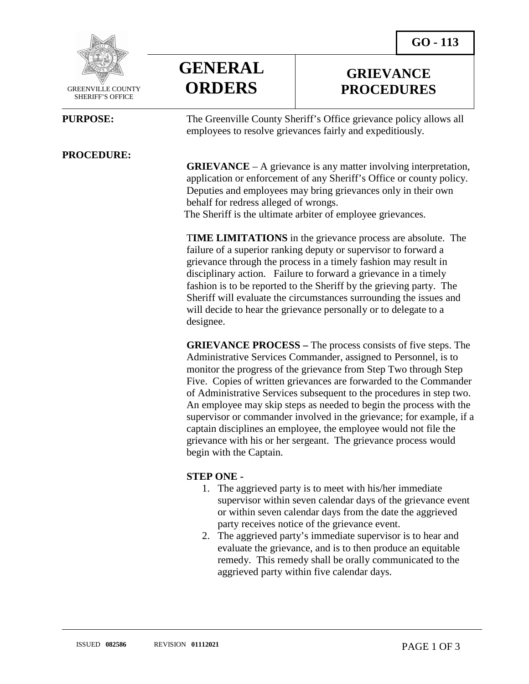**GRIEVANCE PROCEDURES**



 GREENVILLE COUNTY SHERIFF'S OFFICE

l

#### **PROCEDURE:**



**PURPOSE:** The Greenville County Sheriff's Office grievance policy allows all employees to resolve grievances fairly and expeditiously.

> **GRIEVANCE** – A grievance is any matter involving interpretation, application or enforcement of any Sheriff's Office or county policy. Deputies and employees may bring grievances only in their own behalf for redress alleged of wrongs. The Sheriff is the ultimate arbiter of employee grievances.

> T**IME LIMITATIONS** in the grievance process are absolute. The failure of a superior ranking deputy or supervisor to forward a grievance through the process in a timely fashion may result in disciplinary action. Failure to forward a grievance in a timely fashion is to be reported to the Sheriff by the grieving party. The Sheriff will evaluate the circumstances surrounding the issues and will decide to hear the grievance personally or to delegate to a designee.

**GRIEVANCE PROCESS –** The process consists of five steps. The Administrative Services Commander, assigned to Personnel, is to monitor the progress of the grievance from Step Two through Step Five. Copies of written grievances are forwarded to the Commander of Administrative Services subsequent to the procedures in step two. An employee may skip steps as needed to begin the process with the supervisor or commander involved in the grievance; for example, if a captain disciplines an employee, the employee would not file the grievance with his or her sergeant. The grievance process would begin with the Captain.

#### **STEP ONE -**

- 1. The aggrieved party is to meet with his/her immediate supervisor within seven calendar days of the grievance event or within seven calendar days from the date the aggrieved party receives notice of the grievance event.
- 2. The aggrieved party's immediate supervisor is to hear and evaluate the grievance, and is to then produce an equitable remedy. This remedy shall be orally communicated to the aggrieved party within five calendar days.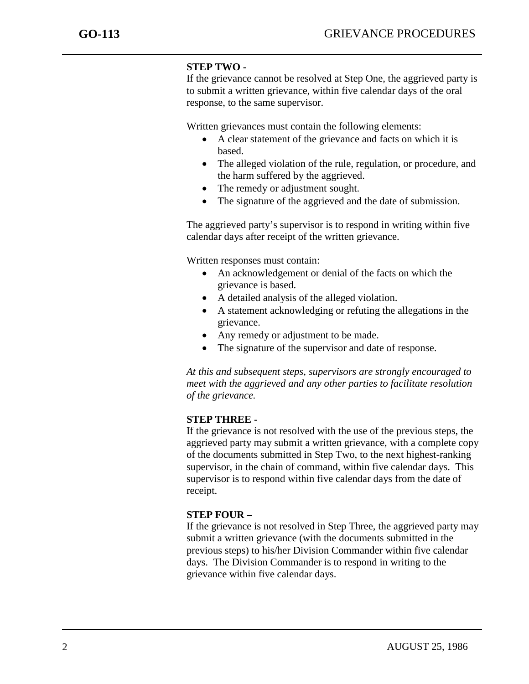j

## **STEP TWO -**

If the grievance cannot be resolved at Step One, the aggrieved party is to submit a written grievance, within five calendar days of the oral response, to the same supervisor.

Written grievances must contain the following elements:

- A clear statement of the grievance and facts on which it is based.
- The alleged violation of the rule, regulation, or procedure, and the harm suffered by the aggrieved.
- The remedy or adjustment sought.
- The signature of the aggrieved and the date of submission.

The aggrieved party's supervisor is to respond in writing within five calendar days after receipt of the written grievance.

Written responses must contain:

- An acknowledgement or denial of the facts on which the grievance is based.
- A detailed analysis of the alleged violation.
- A statement acknowledging or refuting the allegations in the grievance.
- Any remedy or adjustment to be made.
- The signature of the supervisor and date of response.

*At this and subsequent steps, supervisors are strongly encouraged to meet with the aggrieved and any other parties to facilitate resolution of the grievance.*

### **STEP THREE -**

If the grievance is not resolved with the use of the previous steps, the aggrieved party may submit a written grievance, with a complete copy of the documents submitted in Step Two, to the next highest-ranking supervisor, in the chain of command, within five calendar days. This supervisor is to respond within five calendar days from the date of receipt.

### **STEP FOUR –**

If the grievance is not resolved in Step Three, the aggrieved party may submit a written grievance (with the documents submitted in the previous steps) to his/her Division Commander within five calendar days. The Division Commander is to respond in writing to the grievance within five calendar days.